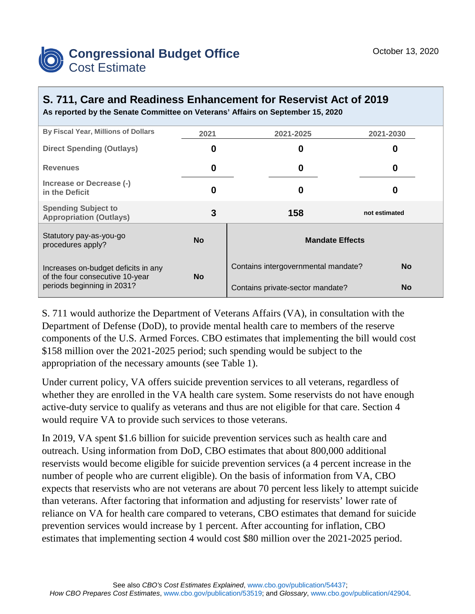

## **S. 711, Care and Readiness Enhancement for Reservist Act of 2019 As reported by the Senate Committee on Veterans' Affairs on September 15, 2020**

| <b>By Fiscal Year, Millions of Dollars</b>                                                           | 2021      | 2021-2025                           | 2021-2030     |  |
|------------------------------------------------------------------------------------------------------|-----------|-------------------------------------|---------------|--|
| <b>Direct Spending (Outlays)</b>                                                                     | 0         | 0                                   | 0             |  |
| <b>Revenues</b>                                                                                      | 0         | 0                                   | 0             |  |
| Increase or Decrease (-)<br>in the Deficit                                                           | 0         | 0                                   | 0             |  |
| <b>Spending Subject to</b><br><b>Appropriation (Outlays)</b>                                         | 3         | 158                                 | not estimated |  |
| Statutory pay-as-you-go<br>procedures apply?                                                         | <b>No</b> | <b>Mandate Effects</b>              |               |  |
| Increases on-budget deficits in any<br>of the four consecutive 10-year<br>periods beginning in 2031? | <b>No</b> | Contains intergovernmental mandate? | <b>No</b>     |  |
|                                                                                                      |           | Contains private-sector mandate?    | <b>No</b>     |  |

S. 711 would authorize the Department of Veterans Affairs (VA), in consultation with the Department of Defense (DoD), to provide mental health care to members of the reserve components of the U.S. Armed Forces. CBO estimates that implementing the bill would cost \$158 million over the 2021-2025 period; such spending would be subject to the appropriation of the necessary amounts (see Table 1).

Under current policy, VA offers suicide prevention services to all veterans, regardless of whether they are enrolled in the VA health care system. Some reservists do not have enough active-duty service to qualify as veterans and thus are not eligible for that care. Section 4 would require VA to provide such services to those veterans.

In 2019, VA spent \$1.6 billion for suicide prevention services such as health care and outreach. Using information from DoD, CBO estimates that about 800,000 additional reservists would become eligible for suicide prevention services (a 4 percent increase in the number of people who are current eligible). On the basis of information from VA, CBO expects that reservists who are not veterans are about 70 percent less likely to attempt suicide than veterans. After factoring that information and adjusting for reservists' lower rate of reliance on VA for health care compared to veterans, CBO estimates that demand for suicide prevention services would increase by 1 percent. After accounting for inflation, CBO estimates that implementing section 4 would cost \$80 million over the 2021-2025 period.